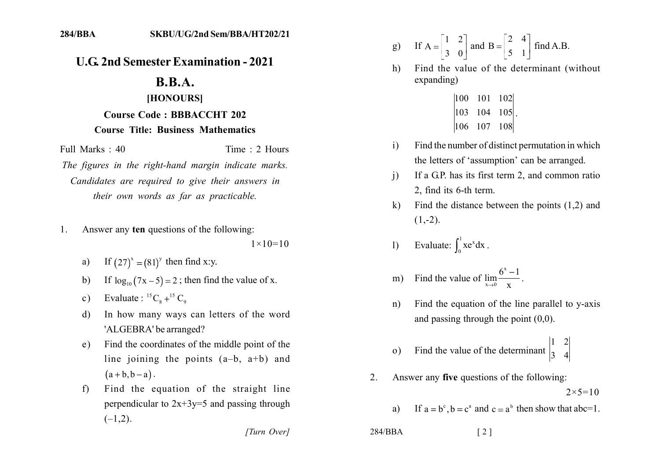## **U.G. 2nd Semester Examination - 2021**

## $B.B.A.$

## [HONOURS] **Course Code: BBBACCHT 202 Course Title: Business Mathematics**

Full Marks: 40

Time: 2 Hours

The figures in the right-hand margin indicate marks. Candidates are required to give their answers in their own words as far as practicable.

Answer any ten questions of the following:  $1_{-}$ 

 $1 \times 10 = 10$ 

- a) If  $(27)^{x} = (81)^{y}$  then find x:y.
- If  $\log_{10}(7x-5) = 2$ ; then find the value of x.  $b)$
- Evaluate :  ${}^{15}C_8$  +  ${}^{15}C_9$  $c)$
- In how many ways can letters of the word d) 'ALGEBRA' be arranged?
- Find the coordinates of the middle point of the  $e)$ line joining the points  $(a-b, a+b)$  and  $(a+b,b-a)$ .
- Find the equation of the straight line  $f$ perpendicular to  $2x+3y=5$  and passing through  $(-1,2)$ .

[Turn Over]

g) If 
$$
A = \begin{bmatrix} 1 & 2 \\ 3 & 0 \end{bmatrix}
$$
 and  $B = \begin{bmatrix} 2 & 4 \\ 5 & 1 \end{bmatrix}$  find A.B.

- Find the value of the determinant (without)  $h)$ expanding)
	- $|100 \t101 \t102|$  $\begin{vmatrix} 103 & 104 & 105 \end{vmatrix}$  $|106 \t107 \t108|$
- Find the number of distinct permutation in which  $\mathbf{i}$ the letters of 'assumption' can be arranged.
- If a G.P. has its first term 2, and common ratio  $\mathbf{i}$ 2. find its 6-th term.
- Find the distance between the points  $(1,2)$  and  $\mathbf{k}$  $(1,-2)$ .
- Evaluate:  $\int_{0}^{1} xe^{x} dx$ .  $\left| \right|$

m) Find the value of 
$$
\lim_{x \to 0} \frac{6^x - 1}{x}
$$
.

- Find the equation of the line parallel to y-axis  $n)$ and passing through the point  $(0,0)$ .
- Find the value of the determinant  $\begin{vmatrix} 1 & 2 \\ 3 & 4 \end{vmatrix}$  $\Omega$ )
- Answer any five questions of the following:  $2_{-}$  $2 \times 5 = 10$

 $\lceil 2 \rceil$ 

- If  $a = b^c$ ,  $b = c^a$  and  $c = a^b$  then show that abc=1.  $a)$
- $284/BBA$